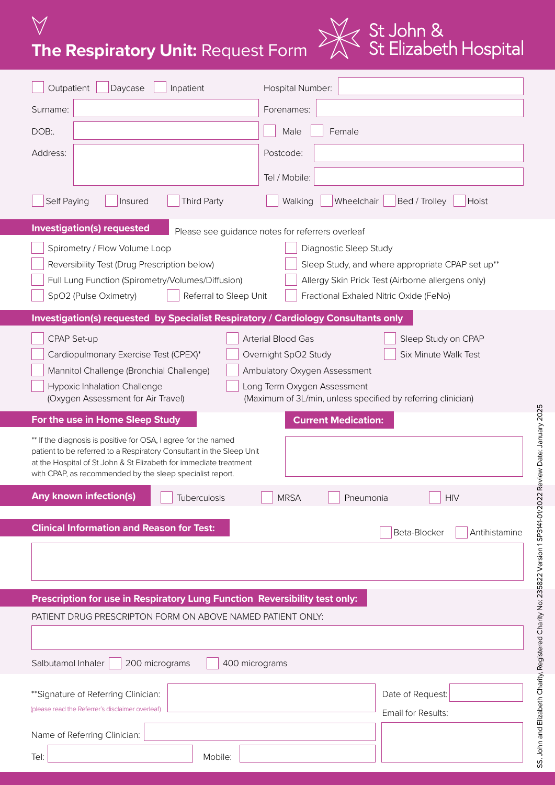**The Respiratory Unit:** Request Form



| Outpatient<br>Daycase<br>Inpatient                                                                                                                                                                                                                                       | Hospital Number:                                                                                                                                                                                                        |  |  |  |
|--------------------------------------------------------------------------------------------------------------------------------------------------------------------------------------------------------------------------------------------------------------------------|-------------------------------------------------------------------------------------------------------------------------------------------------------------------------------------------------------------------------|--|--|--|
| Surname:                                                                                                                                                                                                                                                                 | Forenames:                                                                                                                                                                                                              |  |  |  |
| DOB:                                                                                                                                                                                                                                                                     | Male<br>Female                                                                                                                                                                                                          |  |  |  |
| Address:                                                                                                                                                                                                                                                                 | Postcode:                                                                                                                                                                                                               |  |  |  |
|                                                                                                                                                                                                                                                                          | Tel / Mobile:                                                                                                                                                                                                           |  |  |  |
| Self Paying<br><b>Third Party</b><br>Insured                                                                                                                                                                                                                             | Wheelchair<br>Bed / Trolley<br>Walking<br>Hoist                                                                                                                                                                         |  |  |  |
| <b>Investigation(s) requested</b>                                                                                                                                                                                                                                        | Please see guidance notes for referrers overleaf                                                                                                                                                                        |  |  |  |
| Spirometry / Flow Volume Loop<br>Reversibility Test (Drug Prescription below)<br>Full Lung Function (Spirometry/Volumes/Diffusion)<br>SpO2 (Pulse Oximetry)<br>Referral to Sleep Unit                                                                                    | Diagnostic Sleep Study<br>Sleep Study, and where appropriate CPAP set up**<br>Allergy Skin Prick Test (Airborne allergens only)<br>Fractional Exhaled Nitric Oxide (FeNo)                                               |  |  |  |
| Investigation(s) requested by Specialist Respiratory / Cardiology Consultants only                                                                                                                                                                                       |                                                                                                                                                                                                                         |  |  |  |
| CPAP Set-up<br>Cardiopulmonary Exercise Test (CPEX)*<br>Mannitol Challenge (Bronchial Challenge)<br>Hypoxic Inhalation Challenge<br>(Oxygen Assessment for Air Travel)                                                                                                   | Arterial Blood Gas<br>Sleep Study on CPAP<br>Overnight SpO2 Study<br>Six Minute Walk Test<br>Ambulatory Oxygen Assessment<br>ong Term Oxygen Assessment<br>(Maximum of 3L/min, unless specified by referring clinician) |  |  |  |
| For the use in Home Sleep Study                                                                                                                                                                                                                                          | <b>Current Medication:</b>                                                                                                                                                                                              |  |  |  |
| ** If the diagnosis is positive for OSA, I agree for the named<br>patient to be referred to a Respiratory Consultant in the Sleep Unit<br>at the Hospital of St John & St Elizabeth for immediate treatment<br>with CPAP, as recommended by the sleep specialist report. |                                                                                                                                                                                                                         |  |  |  |
| Any known infection(s)<br>$\overline{\phantom{0}}$<br>Tuberculosis                                                                                                                                                                                                       | <b>MRSA</b><br><b>HIV</b><br>Pneumonia                                                                                                                                                                                  |  |  |  |
| <b>Clinical Information and Reason for Test:</b>                                                                                                                                                                                                                         | Beta-Blocker<br>Antihistamine                                                                                                                                                                                           |  |  |  |
|                                                                                                                                                                                                                                                                          |                                                                                                                                                                                                                         |  |  |  |
| Prescription for use in Respiratory Lung Function Reversibility test only:                                                                                                                                                                                               |                                                                                                                                                                                                                         |  |  |  |
| PATIENT DRUG PRESCRIPTON FORM ON ABOVE NAMED PATIENT ONLY:                                                                                                                                                                                                               |                                                                                                                                                                                                                         |  |  |  |
|                                                                                                                                                                                                                                                                          |                                                                                                                                                                                                                         |  |  |  |
| Salbutamol Inhaler<br>200 micrograms<br>400 micrograms                                                                                                                                                                                                                   |                                                                                                                                                                                                                         |  |  |  |
| ** Signature of Referring Clinician:<br>(please read the Referrer's disclaimer overleaf)                                                                                                                                                                                 | Date of Request:<br>Email for Results:                                                                                                                                                                                  |  |  |  |
| Name of Referring Clinician:                                                                                                                                                                                                                                             |                                                                                                                                                                                                                         |  |  |  |
| Mobile:<br>Tel:                                                                                                                                                                                                                                                          |                                                                                                                                                                                                                         |  |  |  |